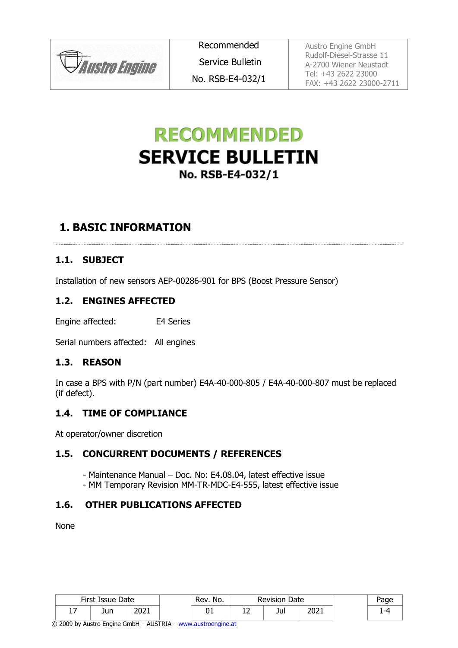**JAustro Engine** 

Recommended Service Bulletin No. RSB-E4-032/1 Austro Engine GmbH Rudolf-Diesel-Strasse 11 A-2700 Wiener Neustadt Tel: +43 2622 23000 FAX: +43 2622 23000-2711

# **RECOMMENDED SERVICE BULLETIN** No. RSB-E4-032/1

## **1. BASIC INFORMATION**

#### **1.1. SUBJECT**

Installation of new sensors AEP-00286-901 for BPS (Boost Pressure Sensor)

#### **1.2. ENGINES AFFECTED**

Engine affected: E4 Series

Serial numbers affected: All engines

#### **1.3. REASON**

In case a BPS with P/N (part number) E4A-40-000-805 / E4A-40-000-807 must be replaced (if defect).

#### <span id="page-0-0"></span>**1.4. TIME OF COMPLIANCE**

At operator/owner discretion

#### **1.5. CONCURRENT DOCUMENTS / REFERENCES**

- Maintenance Manual Doc. No: E4.08.04, latest effective issue
- MM Temporary Revision MM-TR-MDC-E4-555, latest effective issue

#### **1.6. OTHER PUBLICATIONS AFFECTED**

None

|         | First Issue Date |               | No.<br>Rev. | Date<br><b>Revision</b> |     | 'age |  |
|---------|------------------|---------------|-------------|-------------------------|-----|------|--|
| -<br>∸' | Jun              | יר מר<br>ZUZI | ᇰ           | ∸∸                      | Jul | 2021 |  |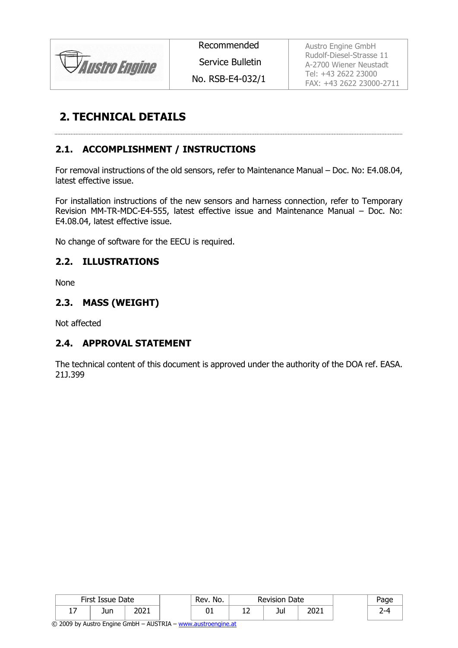

Recommended

Service Bulletin

No. RSB-E4-032/1

Austro Engine GmbH Rudolf-Diesel-Strasse 11 A-2700 Wiener Neustadt Tel: +43 2622 23000 FAX: +43 2622 23000-2711

## **2. TECHNICAL DETAILS**

### <span id="page-1-0"></span>**2.1. ACCOMPLISHMENT / INSTRUCTIONS**

For removal instructions of the old sensors, refer to Maintenance Manual – Doc. No: E4.08.04, latest effective issue.

For installation instructions of the new sensors and harness connection, refer to Temporary Revision MM-TR-MDC-E4-555, latest effective issue and Maintenance Manual – Doc. No: E4.08.04, latest effective issue.

No change of software for the EECU is required.

#### **2.2. ILLUSTRATIONS**

None

#### **2.3. MASS (WEIGHT)**

Not affected

#### **2.4. APPROVAL STATEMENT**

The technical content of this document is approved under the authority of the DOA ref. EASA. 21J.399

|                 | First Issue Date |              | Rev.<br>No. | <b>Revision</b><br>Date |              |  |
|-----------------|------------------|--------------|-------------|-------------------------|--------------|--|
| -<br>. <i>.</i> | Jun              | י המר<br>ᅀᅌᅀ | UΙ          | Jul                     | ∍∩∩י<br>ZUZI |  |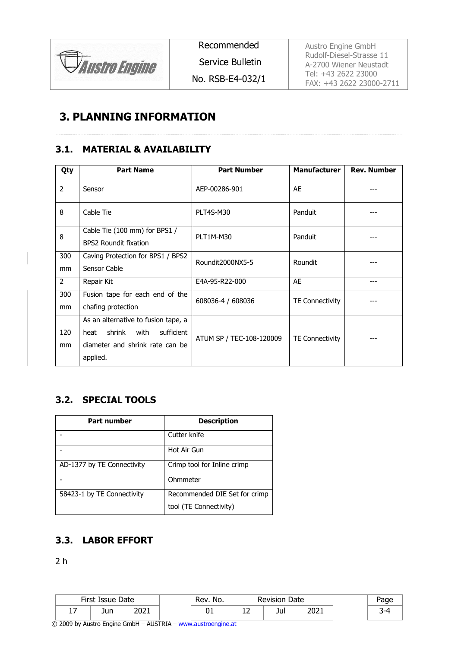

Recommended

Service Bulletin

No. RSB-E4-032/1

Austro Engine GmbH Rudolf-Diesel-Strasse 11 A-2700 Wiener Neustadt Tel: +43 2622 23000 FAX: +43 2622 23000-2711

## **3. PLANNING INFORMATION**

#### **3.1. MATERIAL & AVAILABILITY**

| Qty           | <b>Part Name</b>                                              | <b>Part Number</b>       | <b>Manufacturer</b>    | <b>Rev. Number</b> |  |
|---------------|---------------------------------------------------------------|--------------------------|------------------------|--------------------|--|
| $\mathcal{P}$ | Sensor                                                        | AEP-00286-901            | AE                     |                    |  |
| 8             | Cable Tie                                                     | PLT4S-M30                | Panduit                |                    |  |
| 8             | Cable Tie (100 mm) for BPS1 /<br><b>BPS2 Roundit fixation</b> | PLT1M-M30                | Panduit                |                    |  |
| 300           | Caving Protection for BPS1 / BPS2                             | Roundit2000NX5-5         | Roundit                |                    |  |
| mm            | Sensor Cable                                                  |                          |                        |                    |  |
| 2             | Repair Kit                                                    | E4A-95-R22-000           | AE                     |                    |  |
| 300           | Fusion tape for each end of the                               | 608036-4 / 608036        | <b>TE Connectivity</b> |                    |  |
| mm            | chafing protection                                            |                          |                        |                    |  |
|               | As an alternative to fusion tape, a                           |                          |                        |                    |  |
| 120           | shrink<br>with<br>sufficient<br>heat                          | ATUM SP / TEC-108-120009 | <b>TE Connectivity</b> |                    |  |
| mm            | diameter and shrink rate can be                               |                          |                        |                    |  |
|               | applied.                                                      |                          |                        |                    |  |

### **3.2. SPECIAL TOOLS**

| <b>Part number</b>         | <b>Description</b>            |
|----------------------------|-------------------------------|
|                            | Cutter knife                  |
|                            | Hot Air Gun                   |
| AD-1377 by TE Connectivity | Crimp tool for Inline crimp   |
|                            | Ohmmeter                      |
| 58423-1 by TE Connectivity | Recommended DIE Set for crimp |
|                            | tool (TE Connectivity)        |

#### **3.3. LABOR EFFORT**

2 h

|                   | First Issue Date |              | No.<br>Date<br>Rev.<br><b>Revision</b> |          |     |      | 'age |
|-------------------|------------------|--------------|----------------------------------------|----------|-----|------|------|
| –<br>. . <i>.</i> | Jun              | ור∩ר<br>ZUZI | ◡⊥                                     | <u>.</u> | Jul | 2021 |      |